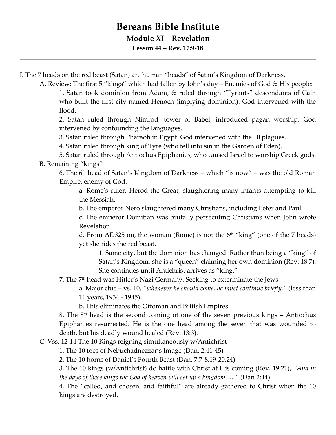## **Bereans Bible Institute Module XI – Revelation Lesson 44 – Rev. 17:9-18**

I. The 7 heads on the red beast (Satan) are human "heads" of Satan's Kingdom of Darkness.

A. Review: The first 5 "kings" which had fallen by John's day – Enemies of God & His people: 1. Satan took dominion from Adam, & ruled through "Tyrants" descendants of Cain who built the first city named Henoch (implying dominion). God intervened with the flood.

2. Satan ruled through Nimrod, tower of Babel, introduced pagan worship. God intervened by confounding the languages.

3. Satan ruled through Pharaoh in Egypt. God intervened with the 10 plagues.

4. Satan ruled through king of Tyre (who fell into sin in the Garden of Eden).

5. Satan ruled through Antiochus Epiphanies, who caused Israel to worship Greek gods. B. Remaining "kings"

6. The  $6<sup>th</sup>$  head of Satan's Kingdom of Darkness – which "is now" – was the old Roman Empire, enemy of God.

a. Rome's ruler, Herod the Great, slaughtering many infants attempting to kill the Messiah.

b. The emperor Nero slaughtered many Christians, including Peter and Paul.

c. The emperor Domitian was brutally persecuting Christians when John wrote Revelation.

d. From AD325 on, the woman (Rome) is not the  $6<sup>th</sup>$  "king" (one of the 7 heads) yet she rides the red beast.

1. Same city, but the dominion has changed. Rather than being a "king" of Satan's Kingdom, she is a "queen" claiming her own dominion (Rev. 18:7). She continues until Antichrist arrives as "king."

7. The 7th head was Hitler's Nazi Germany. Seeking to exterminate the Jews

a. Major clue – vs. 10, *"whenever he should come, he must continue briefly."* (less than 11 years, 1934 - 1945).

b. This eliminates the Ottoman and British Empires.

8. The 8<sup>th</sup> head is the second coming of one of the seven previous kings – Antiochus Epiphanies resurrected. He is the one head among the seven that was wounded to death, but his deadly wound healed (Rev. 13:3).

C. Vss. 12-14 The 10 Kings reigning simultaneously w/Antichrist

1. The 10 toes of Nebuchadnezzar's Image (Dan. 2:41-45)

2. The 10 horns of Daniel's Fourth Beast (Dan. 7:7-8,19-20,24)

3. The 10 kings (w/Antichrist) do battle with Christ at His coming (Rev. 19:21), *"And in the days of these kings the God of heaven will set up a kingdom …"* (Dan 2:44)

4. The "called, and chosen, and faithful" are already gathered to Christ when the 10 kings are destroyed.